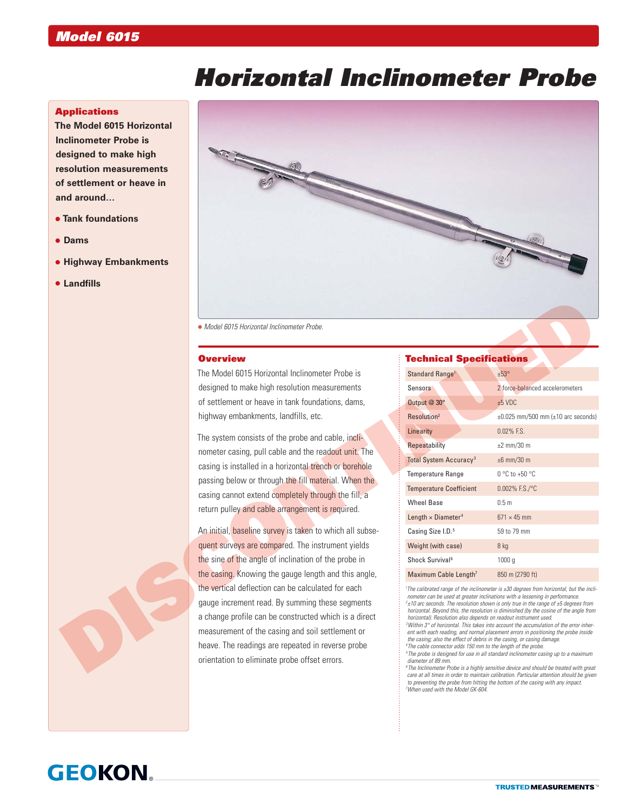# *Horizontal Inclinometer Probe*

### **Applications**

**The Model 6015 Horizontal Inclinometer Probe is designed to make high resolution measurements of settlement or heave in and around…**

- **Tank foundations**
- **Dams**
- **Highway Embankments**
- **Landfills**



## **Overview**

### Technical Specifications

|  | • Model 6015 Horizontal Inclinometer Probe.                                                                                                                                                                                                                                                                                             |                                                                                                                                                                                                                                                                                                                                                                                                                                                                                                                                                                                                                                                                                                                                                                                                                                                                                                                                                                                                                                  |                                               |
|--|-----------------------------------------------------------------------------------------------------------------------------------------------------------------------------------------------------------------------------------------------------------------------------------------------------------------------------------------|----------------------------------------------------------------------------------------------------------------------------------------------------------------------------------------------------------------------------------------------------------------------------------------------------------------------------------------------------------------------------------------------------------------------------------------------------------------------------------------------------------------------------------------------------------------------------------------------------------------------------------------------------------------------------------------------------------------------------------------------------------------------------------------------------------------------------------------------------------------------------------------------------------------------------------------------------------------------------------------------------------------------------------|-----------------------------------------------|
|  | <b>Overview</b>                                                                                                                                                                                                                                                                                                                         | <b>Technical Specifications</b>                                                                                                                                                                                                                                                                                                                                                                                                                                                                                                                                                                                                                                                                                                                                                                                                                                                                                                                                                                                                  |                                               |
|  | The Model 6015 Horizontal Inclinometer Probe is                                                                                                                                                                                                                                                                                         | Standard Range <sup>1</sup>                                                                                                                                                                                                                                                                                                                                                                                                                                                                                                                                                                                                                                                                                                                                                                                                                                                                                                                                                                                                      | ±53°                                          |
|  | designed to make high resolution measurements                                                                                                                                                                                                                                                                                           | <b>Sensors</b>                                                                                                                                                                                                                                                                                                                                                                                                                                                                                                                                                                                                                                                                                                                                                                                                                                                                                                                                                                                                                   | 2 force-balanced accelerometers               |
|  | of settlement or heave in tank foundations, dams,                                                                                                                                                                                                                                                                                       | Output @ 30°                                                                                                                                                                                                                                                                                                                                                                                                                                                                                                                                                                                                                                                                                                                                                                                                                                                                                                                                                                                                                     | $±5$ VDC                                      |
|  | highway embankments, landfills, etc.                                                                                                                                                                                                                                                                                                    | Resolution <sup>2</sup>                                                                                                                                                                                                                                                                                                                                                                                                                                                                                                                                                                                                                                                                                                                                                                                                                                                                                                                                                                                                          | $\pm 0.025$ mm/500 mm ( $\pm 10$ arc seconds) |
|  | The system consists of the probe and cable, incli-<br>nometer casing, pull cable and the readout unit. The<br>casing is installed in a horizontal trench or borehole<br>passing below or through the fill material. When the<br>casing cannot extend completely through the fill, a<br>return pulley and cable arrangement is required. | Linearity                                                                                                                                                                                                                                                                                                                                                                                                                                                                                                                                                                                                                                                                                                                                                                                                                                                                                                                                                                                                                        | 0.02% F.S.                                    |
|  |                                                                                                                                                                                                                                                                                                                                         | Repeatability                                                                                                                                                                                                                                                                                                                                                                                                                                                                                                                                                                                                                                                                                                                                                                                                                                                                                                                                                                                                                    | $±2$ mm/30 m                                  |
|  |                                                                                                                                                                                                                                                                                                                                         | <b>Total System Accuracy<sup>3</sup></b>                                                                                                                                                                                                                                                                                                                                                                                                                                                                                                                                                                                                                                                                                                                                                                                                                                                                                                                                                                                         | $±6$ mm/30 m                                  |
|  |                                                                                                                                                                                                                                                                                                                                         | <b>Temperature Range</b>                                                                                                                                                                                                                                                                                                                                                                                                                                                                                                                                                                                                                                                                                                                                                                                                                                                                                                                                                                                                         | $0 °C$ to +50 $°C$                            |
|  |                                                                                                                                                                                                                                                                                                                                         | <b>Temperature Coefficient</b>                                                                                                                                                                                                                                                                                                                                                                                                                                                                                                                                                                                                                                                                                                                                                                                                                                                                                                                                                                                                   | $0.002\%$ F.S./°C                             |
|  |                                                                                                                                                                                                                                                                                                                                         | <b>Wheel Base</b>                                                                                                                                                                                                                                                                                                                                                                                                                                                                                                                                                                                                                                                                                                                                                                                                                                                                                                                                                                                                                | 0.5 <sub>m</sub>                              |
|  |                                                                                                                                                                                                                                                                                                                                         | Length $\times$ Diameter <sup>4</sup>                                                                                                                                                                                                                                                                                                                                                                                                                                                                                                                                                                                                                                                                                                                                                                                                                                                                                                                                                                                            | $671 \times 45$ mm                            |
|  | An initial, baseline survey is taken to which all subse-                                                                                                                                                                                                                                                                                | Casing Size I.D. <sup>5</sup>                                                                                                                                                                                                                                                                                                                                                                                                                                                                                                                                                                                                                                                                                                                                                                                                                                                                                                                                                                                                    | 59 to 79 mm                                   |
|  | quent surveys are compared. The instrument yields                                                                                                                                                                                                                                                                                       | Weight (with case)                                                                                                                                                                                                                                                                                                                                                                                                                                                                                                                                                                                                                                                                                                                                                                                                                                                                                                                                                                                                               | 8 kg                                          |
|  | the sine of the angle of inclination of the probe in                                                                                                                                                                                                                                                                                    | Shock Survival <sup>6</sup>                                                                                                                                                                                                                                                                                                                                                                                                                                                                                                                                                                                                                                                                                                                                                                                                                                                                                                                                                                                                      | 1000q                                         |
|  | the casing. Knowing the gauge length and this angle,                                                                                                                                                                                                                                                                                    | Maximum Cable Length <sup>7</sup>                                                                                                                                                                                                                                                                                                                                                                                                                                                                                                                                                                                                                                                                                                                                                                                                                                                                                                                                                                                                | 850 m (2790 ft)                               |
|  | the vertical deflection can be calculated for each                                                                                                                                                                                                                                                                                      | <sup>1</sup> The calibrated range of the inclinometer is ±30 degrees from horizontal, but the incli-<br>nometer can be used at greater inclinations with a lessening in performance.<br>$2\pm10$ arc seconds. The resolution shown is only true in the range of $\pm5$ degrees from<br>horizontal. Beyond this, the resolution is diminished (by the cosine of the angle from<br>horizontal). Resolution also depends on readout instrument used.<br><sup>3</sup> Within 3° of horizontal. This takes into account the accumulation of the error inher-<br>ent with each reading, and normal placement errors in positioning the probe inside<br>the casing; also the effect of debris in the casing, or casing damage.<br><sup>4</sup> The cable connector adds 150 mm to the length of the probe.<br><sup>5</sup> The probe is designed for use in all standard inclinometer casing up to a maximum<br>diameter of 89 mm.<br><sup>6</sup> The Inclinometer Probe is a highly sensitive device and should be treated with great |                                               |
|  | gauge increment read. By summing these segments                                                                                                                                                                                                                                                                                         |                                                                                                                                                                                                                                                                                                                                                                                                                                                                                                                                                                                                                                                                                                                                                                                                                                                                                                                                                                                                                                  |                                               |
|  | a change profile can be constructed which is a direct                                                                                                                                                                                                                                                                                   |                                                                                                                                                                                                                                                                                                                                                                                                                                                                                                                                                                                                                                                                                                                                                                                                                                                                                                                                                                                                                                  |                                               |
|  | measurement of the casing and soil settlement or                                                                                                                                                                                                                                                                                        |                                                                                                                                                                                                                                                                                                                                                                                                                                                                                                                                                                                                                                                                                                                                                                                                                                                                                                                                                                                                                                  |                                               |
|  | heave. The readings are repeated in reverse probe                                                                                                                                                                                                                                                                                       |                                                                                                                                                                                                                                                                                                                                                                                                                                                                                                                                                                                                                                                                                                                                                                                                                                                                                                                                                                                                                                  |                                               |
|  | orientation to eliminate probe offset errors.                                                                                                                                                                                                                                                                                           |                                                                                                                                                                                                                                                                                                                                                                                                                                                                                                                                                                                                                                                                                                                                                                                                                                                                                                                                                                                                                                  |                                               |

*6 The Inclinometer Probe is a highly sensitive device and should be treated with great care at all times in order to maintain calibration. Particular attention should be given to preventing the probe from hitting the bottom of the casing with any impact. 7 When used with the Model GK-604.*